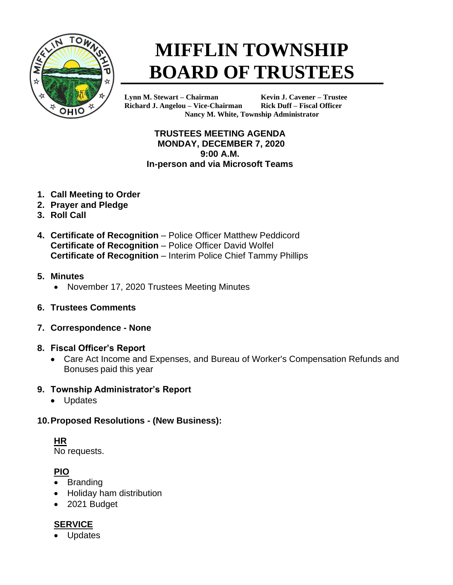

# **MIFFLIN TOWNSHIP BOARD OF TRUSTEES**

**Lynn M. Stewart – Chairman Kevin J. Cavener – Trustee Richard J. Angelou – Vice-Chairman Rick Duff – Fiscal Officer Nancy M. White, Township Administrator**

#### **TRUSTEES MEETING AGENDA MONDAY, DECEMBER 7, 2020 9:00 A.M. In-person and via Microsoft Teams**

- **1. Call Meeting to Order**
- **2. Prayer and Pledge**
- **3. Roll Call**
- **4. Certificate of Recognition** Police Officer Matthew Peddicord **Certificate of Recognition - Police Officer David Wolfel Certificate of Recognition** – Interim Police Chief Tammy Phillips
- **5. Minutes**
	- November 17, 2020 Trustees Meeting Minutes
- **6. Trustees Comments**
- **7. Correspondence - None**
- **8. Fiscal Officer's Report**
	- Care Act Income and Expenses, and Bureau of Worker's Compensation Refunds and Bonuses paid this year

#### **9. Township Administrator's Report**

• Updates

#### **10.Proposed Resolutions - (New Business):**

# **HR**

No requests.

# **PIO**

- Branding
- Holiday ham distribution
- 2021 Budget

# **SERVICE**

**Updates**